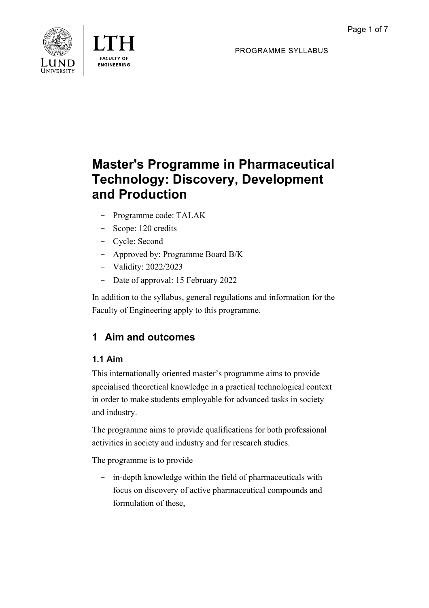



PROGRAMME SYLLABUS

# **Master's Programme in Pharmaceutical Technology: Discovery, Development and Production**

- Programme code: TALAK
- Scope: 120 credits
- Cycle: Second
- Approved by: Programme Board B/K
- Validity: 2022/2023
- Date of approval: 15 February 2022

In addition to the syllabus, general regulations and information for the Faculty of Engineering apply to this programme.

## **1 Aim and outcomes**

## **1.1 Aim**

This internationally oriented master's programme aims to provide specialised theoretical knowledge in a practical technological context in order to make students employable for advanced tasks in society and industry.

The programme aims to provide qualifications for both professional activities in society and industry and for research studies.

The programme is to provide

- in-depth knowledge within the field of pharmaceuticals with focus on discovery of active pharmaceutical compounds and formulation of these,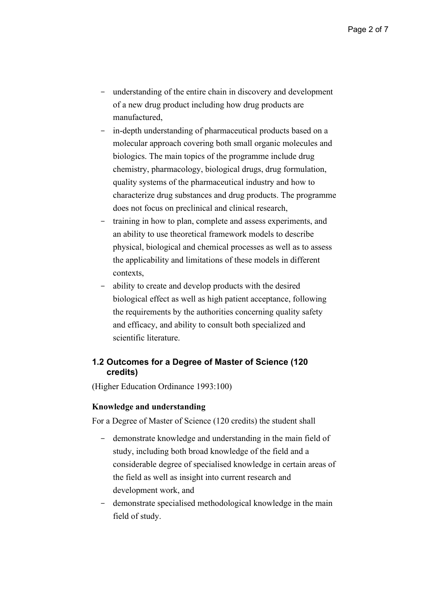- understanding of the entire chain in discovery and development of a new drug product including how drug products are manufactured,
- in-depth understanding of pharmaceutical products based on a molecular approach covering both small organic molecules and biologics. The main topics of the programme include drug chemistry, pharmacology, biological drugs, drug formulation, quality systems of the pharmaceutical industry and how to characterize drug substances and drug products. The programme does not focus on preclinical and clinical research,
- training in how to plan, complete and assess experiments, and an ability to use theoretical framework models to describe physical, biological and chemical processes as well as to assess the applicability and limitations of these models in different contexts,
- ability to create and develop products with the desired biological effect as well as high patient acceptance, following the requirements by the authorities concerning quality safety and efficacy, and ability to consult both specialized and scientific literature.

#### **1.2 Outcomes for a Degree of Master of Science (120 credits)**

(Higher Education Ordinance 1993:100)

#### **Knowledge and understanding**

For a Degree of Master of Science (120 credits) the student shall

- demonstrate knowledge and understanding in the main field of study, including both broad knowledge of the field and a considerable degree of specialised knowledge in certain areas of the field as well as insight into current research and development work, and
- demonstrate specialised methodological knowledge in the main field of study.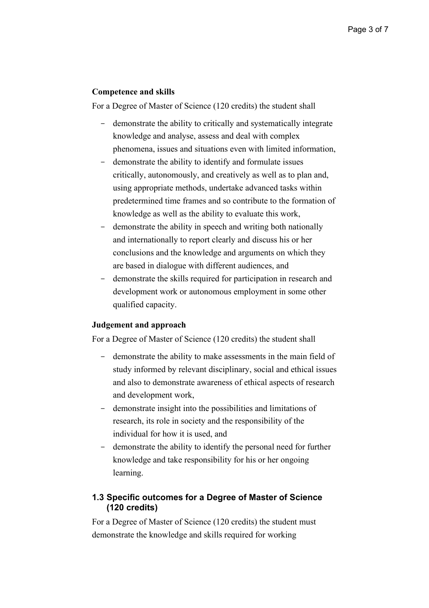#### **Competence and skills**

For a Degree of Master of Science (120 credits) the student shall

- demonstrate the ability to critically and systematically integrate knowledge and analyse, assess and deal with complex phenomena, issues and situations even with limited information,
- demonstrate the ability to identify and formulate issues critically, autonomously, and creatively as well as to plan and, using appropriate methods, undertake advanced tasks within predetermined time frames and so contribute to the formation of knowledge as well as the ability to evaluate this work,
- demonstrate the ability in speech and writing both nationally and internationally to report clearly and discuss his or her conclusions and the knowledge and arguments on which they are based in dialogue with different audiences, and
- demonstrate the skills required for participation in research and development work or autonomous employment in some other qualified capacity.

#### **Judgement and approach**

For a Degree of Master of Science (120 credits) the student shall

- demonstrate the ability to make assessments in the main field of study informed by relevant disciplinary, social and ethical issues and also to demonstrate awareness of ethical aspects of research and development work,
- demonstrate insight into the possibilities and limitations of research, its role in society and the responsibility of the individual for how it is used, and
- demonstrate the ability to identify the personal need for further knowledge and take responsibility for his or her ongoing learning.

#### **1.3 Specific outcomes for a Degree of Master of Science (120 credits)**

For a Degree of Master of Science (120 credits) the student must demonstrate the knowledge and skills required for working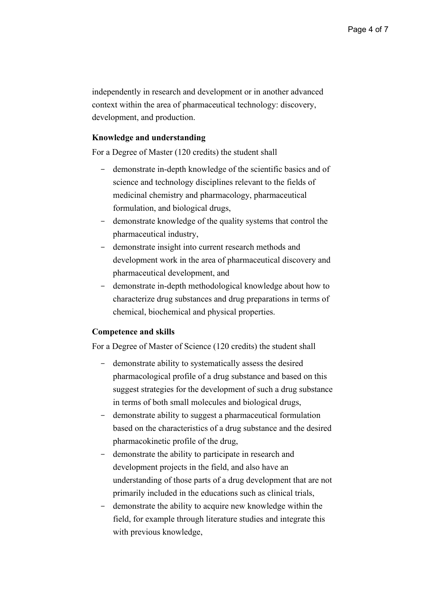independently in research and development or in another advanced context within the area of pharmaceutical technology: discovery, development, and production.

#### **Knowledge and understanding**

For a Degree of Master (120 credits) the student shall

- demonstrate in-depth knowledge of the scientific basics and of science and technology disciplines relevant to the fields of medicinal chemistry and pharmacology, pharmaceutical formulation, and biological drugs,
- demonstrate knowledge of the quality systems that control the pharmaceutical industry,
- demonstrate insight into current research methods and development work in the area of pharmaceutical discovery and pharmaceutical development, and
- demonstrate in-depth methodological knowledge about how to characterize drug substances and drug preparations in terms of chemical, biochemical and physical properties.

#### **Competence and skills**

For a Degree of Master of Science (120 credits) the student shall

- demonstrate ability to systematically assess the desired pharmacological profile of a drug substance and based on this suggest strategies for the development of such a drug substance in terms of both small molecules and biological drugs,
- demonstrate ability to suggest a pharmaceutical formulation based on the characteristics of a drug substance and the desired pharmacokinetic profile of the drug,
- demonstrate the ability to participate in research and development projects in the field, and also have an understanding of those parts of a drug development that are not primarily included in the educations such as clinical trials,
- demonstrate the ability to acquire new knowledge within the field, for example through literature studies and integrate this with previous knowledge,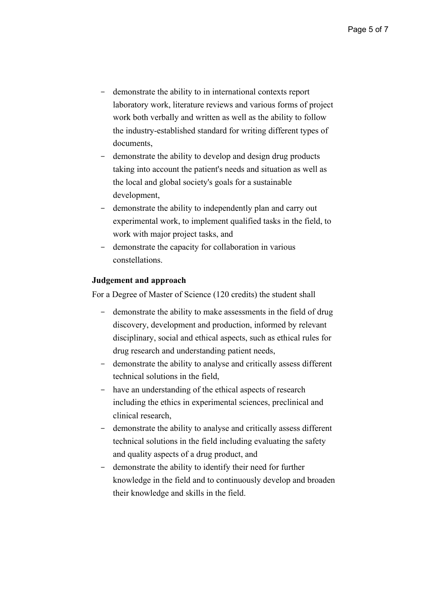- demonstrate the ability to in international contexts report laboratory work, literature reviews and various forms of project work both verbally and written as well as the ability to follow the industry-established standard for writing different types of documents,
- demonstrate the ability to develop and design drug products taking into account the patient's needs and situation as well as the local and global society's goals for a sustainable development,
- demonstrate the ability to independently plan and carry out experimental work, to implement qualified tasks in the field, to work with major project tasks, and
- demonstrate the capacity for collaboration in various constellations.

#### **Judgement and approach**

For a Degree of Master of Science (120 credits) the student shall

- demonstrate the ability to make assessments in the field of drug discovery, development and production, informed by relevant disciplinary, social and ethical aspects, such as ethical rules for drug research and understanding patient needs,
- demonstrate the ability to analyse and critically assess different technical solutions in the field,
- have an understanding of the ethical aspects of research including the ethics in experimental sciences, preclinical and clinical research,
- demonstrate the ability to analyse and critically assess different technical solutions in the field including evaluating the safety and quality aspects of a drug product, and
- demonstrate the ability to identify their need for further knowledge in the field and to continuously develop and broaden their knowledge and skills in the field.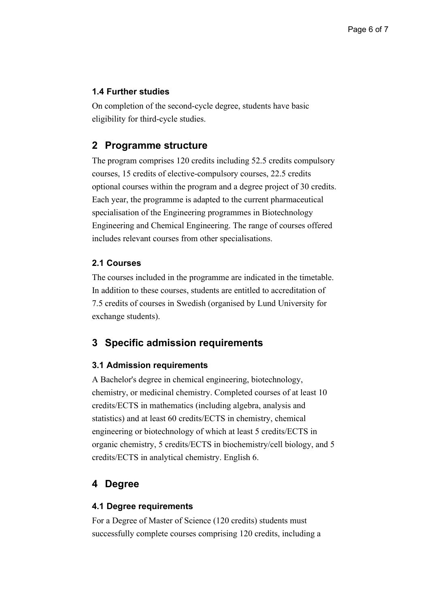#### **1.4 Further studies**

On completion of the second-cycle degree, students have basic eligibility for third-cycle studies.

## **2 Programme structure**

The program comprises 120 credits including 52.5 credits compulsory courses, 15 credits of elective-compulsory courses, 22.5 credits optional courses within the program and a degree project of 30 credits. Each year, the programme is adapted to the current pharmaceutical specialisation of the Engineering programmes in Biotechnology Engineering and Chemical Engineering. The range of courses offered includes relevant courses from other specialisations.

#### **2.1 Courses**

The courses included in the programme are indicated in the timetable. In addition to these courses, students are entitled to accreditation of 7.5 credits of courses in Swedish (organised by Lund University for exchange students).

## **3 Specific admission requirements**

#### **3.1 Admission requirements**

A Bachelor's degree in chemical engineering, biotechnology, chemistry, or medicinal chemistry. Completed courses of at least 10 credits/ECTS in mathematics (including algebra, analysis and statistics) and at least 60 credits/ECTS in chemistry, chemical engineering or biotechnology of which at least 5 credits/ECTS in organic chemistry, 5 credits/ECTS in biochemistry/cell biology, and 5 credits/ECTS in analytical chemistry. English 6.

## **4 Degree**

#### **4.1 Degree requirements**

For a Degree of Master of Science (120 credits) students must successfully complete courses comprising 120 credits, including a